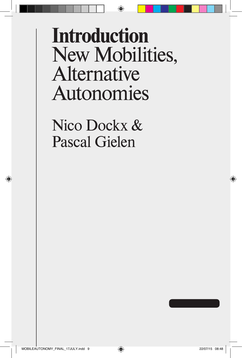## **Introduction** New Mobilities, Alternative Autonomies

⊕

Nico Dockx & Pascal Gielen

◈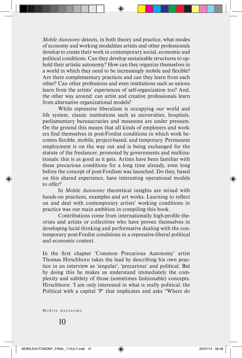*Mobile Autonomy* detects, in both theory and practice, what modes of economy and working modalities artists and other professionals develop to create their work in contemporary social, economic and political conditions. Can they develop sustainable structures to uphold their artistic autonomy? How can they organize themselves in a world in which they need to be increasingly mobile and flexible? Are there complementary practices and can they learn from each other? Can other professions and even institutions such as unions learn from the artists' experiences of self-organization too? And, the other way around: can artist and creative professionals learn from alternative organizational models?

While repressive liberalism is occupying our world and life system, classic institutions such as universities, hospitals, parliamentary bureaucracies and museums are under pressure. On the ground this means that all kinds of employers and workers find themselves in post-Fordist conditions in which work becomes flexible, mobile, project-based, and temporary. Permanent employment is on the way out and is being exchanged for the statute of the freelancer, promoted by governments and multinationals: this is as good as it gets. Artists have been familiar with these precarious conditions for a long time already, even long before the concept of post-Fordism was launched. Do they, based on this shared experience, have interesting operational models to offer?

In *Mobile Autonomy* theoretical insights are mixed with hands-on practices, examples and art works. Learning to reflect on and deal with contemporary artists' working conditions in practice was our main ambition in compiling this book.

Contributions come from internationally high-profile theorists and artists or collectives who have proven themselves in developing lucid thinking and performative dealing with the contemporary post-Fordist conditions in a repressive-liberal political and economic context.

In the first chapter 'Common Precarious Autonomy' artist Thomas Hirschhorn takes the lead by describing his own practice in an interview as 'singular', 'precarious' and political. But by doing this he makes us understand immediately the complexity and subtlety of those (sometimes fashionable) concepts. Hirschhorn: 'I am only interested in what is really political: the Political with a capital 'P' that implicates and asks "Where do

Mobile Autonomy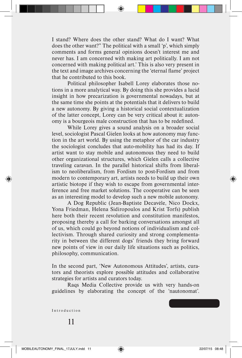I stand? Where does the other stand? What do I want? What does the other want?" The political with a small 'p', which simply comments and forms general opinions doesn't interest me and never has. I am concerned with making art politically. I am not concerned with making political art.' This is also very present in the text and image archives concerning the 'eternal flame' project that he contributed to this book.

Political philosopher Isabell Lorey elaborates those notions in a more analytical way. By doing this she provides a lucid insight in how precarization is governmental nowadays, but at the same time she points at the potentials that it delivers to build a new autonomy. By giving a historical social contextualization of the latter concept, Lorey can be very critical about it: autonomy is a bourgeois male construction that has to be redefined.

While Lorey gives a sound analysis on a broader social level, sociologist Pascal Gielen looks at how autonomy may function in the art world. By using the metaphor of the car industry the sociologist concludes that auto-mobility has had its day. If artist want to stay mobile and autonomous they need to build other organizational structures, which Gielen calls a collective traveling caravan. In the parallel historical shifts from liberalism to neoliberalism, from Fordism to post-Fordism and from modern to contemporary art, artists needs to build up their own artistic biotope if they wish to escape from governmental interference and free market solutions. The cooperative can be seen as an interesting model to develop such a new mobile autonomy.

A Dog Republic (Jean-Baptiste Decavèle, Nico Dockx, Yona Friedman, Helena Sidiropoulos and Krist Torfs) publish here both their recent revolution and constitution manifestos, proposing thereby a call for barking conversations amongst all of us, which could go beyond notions of individualism and collectivism. Through shared curiosity and strong complementarity in between the different dogs' friends they bring forward new points of view in our daily life situations such as politics, philosophy, communication.

In the second part, 'New Autonomous Attitudes', artists, curators and theorists explore possible attitudes and collaborative strategies for artists and curators today.

Raqs Media Collective provide us with very hands-on guidelines by elaborating the concept of the 'nautonomat'.

Introduction

11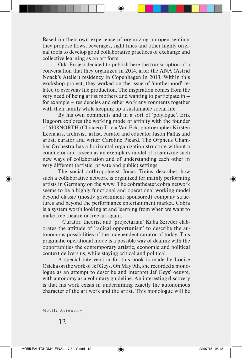Based on their own experience of organizing an open seminar they propose flows, beverages, sight lines and other highly original tools to develop good collaborative practices of exchange and collective learning as an art form.

Oda Projesi decided to publish here the transcription of a conversation that they organized in 2014, after the ANA (Astrid Noack's Atelier) residency in Copenhagen in 2013. Within this workshop project, they worked on the issue of 'motherhood' related to everyday life production. The inspiration comes from the very need of being artist mothers and wanting to participate in for example — residencies and other work environments together with their family while keeping up a sustainable social life.

By his own comments and in a sort of 'polylogue', Erik Hagoort explores the working mode of affinity with the founder of 6108NORTH (Chicago) Tricia Van Eck, photographer Kirsten Leenaars, archivist, artist, curator and educator Jason Pallas and artist, curator and writer Caroline Picard. The Orpheus Chamber Orchestra has a horizontal organization structure without a conductor and is seen as an exemplary model of organizing such new ways of collaboration and of understanding each other in very different (artistic, private and public) settings.

The social anthropologist Jonas Tinius describes how such a collaborative network is organized for mainly performing artists in Germany on the www. The cobratheater.cobra network seems to be a highly functional and operational working model beyond classic (mostly government–sponsored) company structures and beyond the performance entertainment market. Cobra is a system worth looking at and learning from when we want to make free theatre or free art again.

Curator, theorist and 'projectarian' Kuba Szreder elaborates the attitude of 'radical opportunism' to describe the autonomous possibilities of the independent curator of today. This pragmatic operational mode is a possible way of dealing with the opportunities the contemporary artistic, economic and political context delivers us, while staying critical and political.

A special intervention for this book is made by Louise Osieka on the work of Jef Geys. On May 9th, she recorded a monologue as an attempt to describe and interpret Jef Geys' oeuvre, with autonomy as a voluntary guideline. An interesting discovery is that his work exists in undermining exactly the autonomous character of the art work and the artist. This monologue will be

Mobile Autonomy